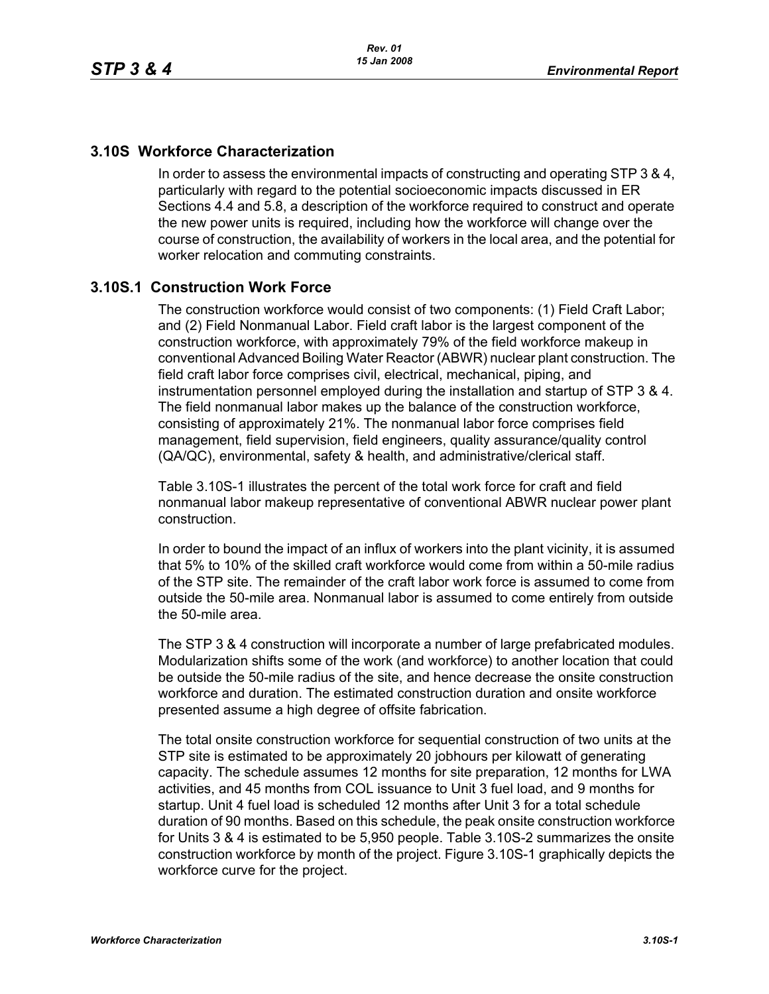#### **3.10S Workforce Characterization**

In order to assess the environmental impacts of constructing and operating STP 3 & 4, particularly with regard to the potential socioeconomic impacts discussed in ER Sections 4.4 and 5.8, a description of the workforce required to construct and operate the new power units is required, including how the workforce will change over the course of construction, the availability of workers in the local area, and the potential for worker relocation and commuting constraints.

### **3.10S.1 Construction Work Force**

The construction workforce would consist of two components: (1) Field Craft Labor; and (2) Field Nonmanual Labor. Field craft labor is the largest component of the construction workforce, with approximately 79% of the field workforce makeup in conventional Advanced Boiling Water Reactor (ABWR) nuclear plant construction. The field craft labor force comprises civil, electrical, mechanical, piping, and instrumentation personnel employed during the installation and startup of STP 3 & 4. The field nonmanual labor makes up the balance of the construction workforce, consisting of approximately 21%. The nonmanual labor force comprises field management, field supervision, field engineers, quality assurance/quality control (QA/QC), environmental, safety & health, and administrative/clerical staff.

Table 3.10S-1 illustrates the percent of the total work force for craft and field nonmanual labor makeup representative of conventional ABWR nuclear power plant construction.

In order to bound the impact of an influx of workers into the plant vicinity, it is assumed that 5% to 10% of the skilled craft workforce would come from within a 50-mile radius of the STP site. The remainder of the craft labor work force is assumed to come from outside the 50-mile area. Nonmanual labor is assumed to come entirely from outside the 50-mile area.

The STP 3 & 4 construction will incorporate a number of large prefabricated modules. Modularization shifts some of the work (and workforce) to another location that could be outside the 50-mile radius of the site, and hence decrease the onsite construction workforce and duration. The estimated construction duration and onsite workforce presented assume a high degree of offsite fabrication.

The total onsite construction workforce for sequential construction of two units at the STP site is estimated to be approximately 20 jobhours per kilowatt of generating capacity. The schedule assumes 12 months for site preparation, 12 months for LWA activities, and 45 months from COL issuance to Unit 3 fuel load, and 9 months for startup. Unit 4 fuel load is scheduled 12 months after Unit 3 for a total schedule duration of 90 months. Based on this schedule, the peak onsite construction workforce for Units 3 & 4 is estimated to be 5,950 people. Table 3.10S-2 summarizes the onsite construction workforce by month of the project. Figure 3.10S-1 graphically depicts the workforce curve for the project.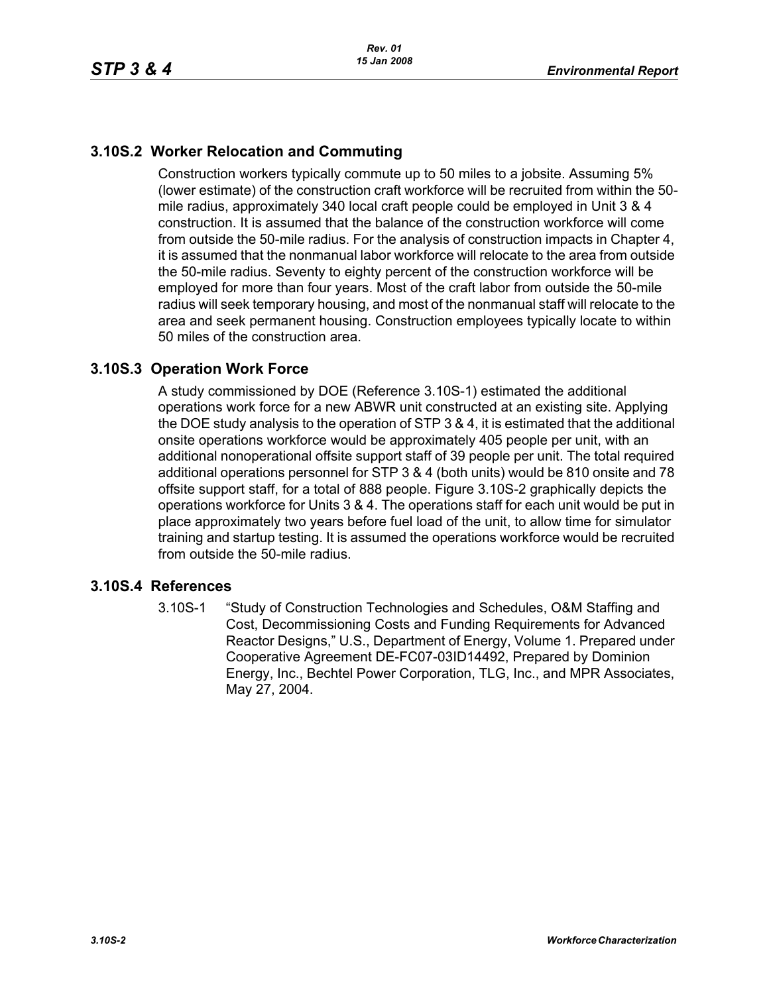## **3.10S.2 Worker Relocation and Commuting**

Construction workers typically commute up to 50 miles to a jobsite. Assuming 5% (lower estimate) of the construction craft workforce will be recruited from within the 50 mile radius, approximately 340 local craft people could be employed in Unit 3 & 4 construction. It is assumed that the balance of the construction workforce will come from outside the 50-mile radius. For the analysis of construction impacts in Chapter 4, it is assumed that the nonmanual labor workforce will relocate to the area from outside the 50-mile radius. Seventy to eighty percent of the construction workforce will be employed for more than four years. Most of the craft labor from outside the 50-mile radius will seek temporary housing, and most of the nonmanual staff will relocate to the area and seek permanent housing. Construction employees typically locate to within 50 miles of the construction area.

#### **3.10S.3 Operation Work Force**

A study commissioned by DOE (Reference 3.10S-1) estimated the additional operations work force for a new ABWR unit constructed at an existing site. Applying the DOE study analysis to the operation of STP 3 & 4, it is estimated that the additional onsite operations workforce would be approximately 405 people per unit, with an additional nonoperational offsite support staff of 39 people per unit. The total required additional operations personnel for STP 3 & 4 (both units) would be 810 onsite and 78 offsite support staff, for a total of 888 people. Figure 3.10S-2 graphically depicts the operations workforce for Units 3 & 4. The operations staff for each unit would be put in place approximately two years before fuel load of the unit, to allow time for simulator training and startup testing. It is assumed the operations workforce would be recruited from outside the 50-mile radius.

#### **3.10S.4 References**

3.10S-1 "Study of Construction Technologies and Schedules, O&M Staffing and Cost, Decommissioning Costs and Funding Requirements for Advanced Reactor Designs," U.S., Department of Energy, Volume 1. Prepared under Cooperative Agreement DE-FC07-03ID14492, Prepared by Dominion Energy, Inc., Bechtel Power Corporation, TLG, Inc., and MPR Associates, May 27, 2004.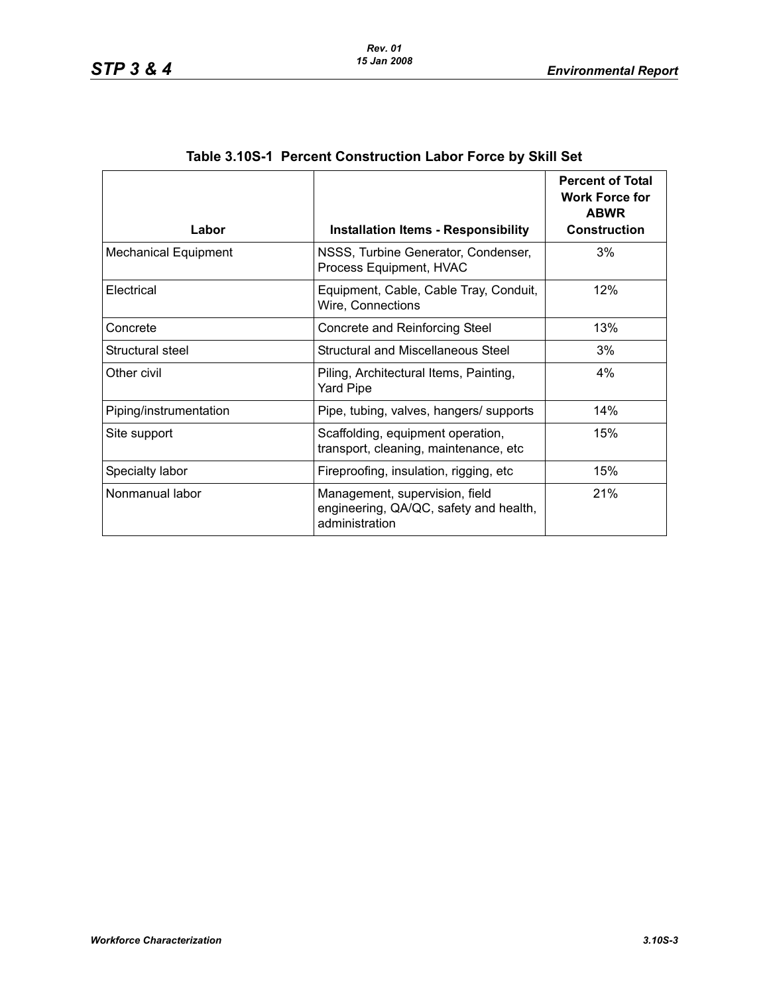| Labor                       | <b>Installation Items - Responsibility</b>                                                 | <b>Percent of Total</b><br><b>Work Force for</b><br><b>ABWR</b><br><b>Construction</b> |
|-----------------------------|--------------------------------------------------------------------------------------------|----------------------------------------------------------------------------------------|
| <b>Mechanical Equipment</b> | NSSS, Turbine Generator, Condenser,<br>Process Equipment, HVAC                             | 3%                                                                                     |
| Electrical                  | Equipment, Cable, Cable Tray, Conduit,<br>Wire, Connections                                | 12%                                                                                    |
| Concrete                    | Concrete and Reinforcing Steel                                                             | 13%                                                                                    |
| Structural steel            | Structural and Miscellaneous Steel                                                         | 3%                                                                                     |
| Other civil                 | Piling, Architectural Items, Painting,<br><b>Yard Pipe</b>                                 | 4%                                                                                     |
| Piping/instrumentation      | Pipe, tubing, valves, hangers/ supports                                                    | 14%                                                                                    |
| Site support                | Scaffolding, equipment operation,<br>transport, cleaning, maintenance, etc                 | 15%                                                                                    |
| Specialty labor             | Fireproofing, insulation, rigging, etc.                                                    | 15%                                                                                    |
| Nonmanual labor             | Management, supervision, field<br>engineering, QA/QC, safety and health,<br>administration | 21%                                                                                    |

## **Table 3.10S-1 Percent Construction Labor Force by Skill Set**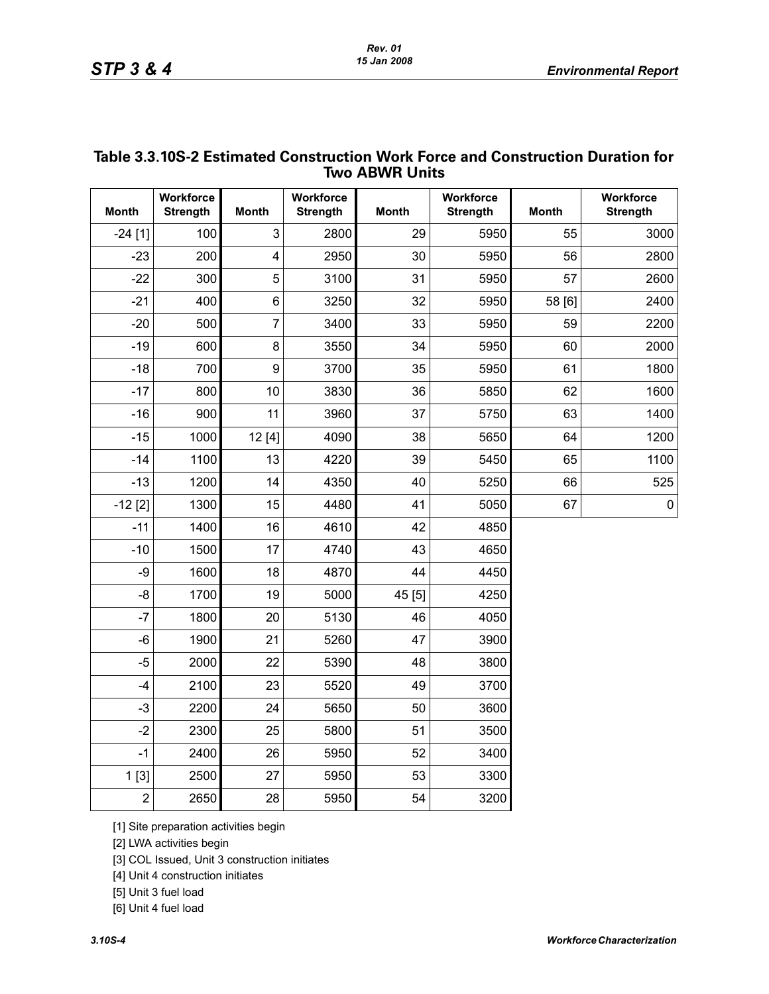| <b>Workforce</b><br>Workforce<br>Workforce<br>Workforce<br><b>Month</b><br><b>Month</b><br><b>Strength</b><br><b>Month</b><br><b>Strength</b><br><b>Strength</b><br><b>Month</b><br><b>Strength</b><br>3<br>29<br>$-24$ [1]<br>100<br>2800<br>5950<br>55<br>3000<br>$-23$<br>200<br>4<br>2950<br>5950<br>56<br>30<br>2800<br>5<br>$-22$<br>300<br>3100<br>31<br>57<br>5950<br>2600<br>$6\phantom{1}6$<br>$-21$<br>400<br>3250<br>32<br>5950<br>58 [6]<br>2400<br>$\overline{7}$<br>$-20$<br>500<br>3400<br>33<br>5950<br>59<br>2200<br>8<br>$-19$<br>600<br>3550<br>34<br>5950<br>60<br>2000<br>9<br>$-18$<br>700<br>3700<br>35<br>61<br>1800<br>5950<br>$-17$<br>10<br>3830<br>62<br>800<br>36<br>5850<br>1600<br>$-16$<br>11<br>63<br>900<br>3960<br>37<br>1400<br>5750<br>$-15$<br>1000<br>12[4]<br>4090<br>38<br>64<br>1200<br>5650<br>13<br>39<br>$-14$<br>1100<br>4220<br>5450<br>65<br>1100<br>$-13$<br>1200<br>14<br>66<br>525<br>4350<br>40<br>5250<br>1300<br>15<br>$\mathbf 0$<br>$-12$ [2]<br>4480<br>41<br>5050<br>67<br>$-11$<br>16<br>1400<br>4610<br>42<br>4850<br>17<br>$-10$<br>1500<br>4740<br>43<br>4650<br>-9<br>18<br>1600<br>4870<br>44<br>4450<br>-8<br>1700<br>19<br>45 [5]<br>5000<br>4250<br>$-7$<br>1800<br>20<br>5130<br>46<br>4050<br>$-6$<br>1900<br>21<br>5260<br>47<br>3900<br>$-5$<br>2000<br>22<br>5390<br>48<br>3800<br>2100<br>23<br>49<br>$-4$<br>5520<br>3700<br>$-3$<br>24<br>2200<br>5650<br>50<br>3600<br>$-2$<br>25<br>51<br>2300<br>5800<br>3500<br>$-1$<br>2400<br>26<br>5950<br>52<br>3400<br>1[3]<br>2500<br>27<br>53<br>5950<br>3300<br>$\overline{c}$<br>28<br>2650<br>5950<br>54<br>3200 | <b>Two ABWR Units</b> |  |  |  |  |  |  |  |  |  |  |
|--------------------------------------------------------------------------------------------------------------------------------------------------------------------------------------------------------------------------------------------------------------------------------------------------------------------------------------------------------------------------------------------------------------------------------------------------------------------------------------------------------------------------------------------------------------------------------------------------------------------------------------------------------------------------------------------------------------------------------------------------------------------------------------------------------------------------------------------------------------------------------------------------------------------------------------------------------------------------------------------------------------------------------------------------------------------------------------------------------------------------------------------------------------------------------------------------------------------------------------------------------------------------------------------------------------------------------------------------------------------------------------------------------------------------------------------------------------------------------------------------------------------------------------------------------------------------------------------------------------------------------------------|-----------------------|--|--|--|--|--|--|--|--|--|--|
|                                                                                                                                                                                                                                                                                                                                                                                                                                                                                                                                                                                                                                                                                                                                                                                                                                                                                                                                                                                                                                                                                                                                                                                                                                                                                                                                                                                                                                                                                                                                                                                                                                            |                       |  |  |  |  |  |  |  |  |  |  |
|                                                                                                                                                                                                                                                                                                                                                                                                                                                                                                                                                                                                                                                                                                                                                                                                                                                                                                                                                                                                                                                                                                                                                                                                                                                                                                                                                                                                                                                                                                                                                                                                                                            |                       |  |  |  |  |  |  |  |  |  |  |
|                                                                                                                                                                                                                                                                                                                                                                                                                                                                                                                                                                                                                                                                                                                                                                                                                                                                                                                                                                                                                                                                                                                                                                                                                                                                                                                                                                                                                                                                                                                                                                                                                                            |                       |  |  |  |  |  |  |  |  |  |  |
|                                                                                                                                                                                                                                                                                                                                                                                                                                                                                                                                                                                                                                                                                                                                                                                                                                                                                                                                                                                                                                                                                                                                                                                                                                                                                                                                                                                                                                                                                                                                                                                                                                            |                       |  |  |  |  |  |  |  |  |  |  |
|                                                                                                                                                                                                                                                                                                                                                                                                                                                                                                                                                                                                                                                                                                                                                                                                                                                                                                                                                                                                                                                                                                                                                                                                                                                                                                                                                                                                                                                                                                                                                                                                                                            |                       |  |  |  |  |  |  |  |  |  |  |
|                                                                                                                                                                                                                                                                                                                                                                                                                                                                                                                                                                                                                                                                                                                                                                                                                                                                                                                                                                                                                                                                                                                                                                                                                                                                                                                                                                                                                                                                                                                                                                                                                                            |                       |  |  |  |  |  |  |  |  |  |  |
|                                                                                                                                                                                                                                                                                                                                                                                                                                                                                                                                                                                                                                                                                                                                                                                                                                                                                                                                                                                                                                                                                                                                                                                                                                                                                                                                                                                                                                                                                                                                                                                                                                            |                       |  |  |  |  |  |  |  |  |  |  |
|                                                                                                                                                                                                                                                                                                                                                                                                                                                                                                                                                                                                                                                                                                                                                                                                                                                                                                                                                                                                                                                                                                                                                                                                                                                                                                                                                                                                                                                                                                                                                                                                                                            |                       |  |  |  |  |  |  |  |  |  |  |
|                                                                                                                                                                                                                                                                                                                                                                                                                                                                                                                                                                                                                                                                                                                                                                                                                                                                                                                                                                                                                                                                                                                                                                                                                                                                                                                                                                                                                                                                                                                                                                                                                                            |                       |  |  |  |  |  |  |  |  |  |  |
|                                                                                                                                                                                                                                                                                                                                                                                                                                                                                                                                                                                                                                                                                                                                                                                                                                                                                                                                                                                                                                                                                                                                                                                                                                                                                                                                                                                                                                                                                                                                                                                                                                            |                       |  |  |  |  |  |  |  |  |  |  |
|                                                                                                                                                                                                                                                                                                                                                                                                                                                                                                                                                                                                                                                                                                                                                                                                                                                                                                                                                                                                                                                                                                                                                                                                                                                                                                                                                                                                                                                                                                                                                                                                                                            |                       |  |  |  |  |  |  |  |  |  |  |
|                                                                                                                                                                                                                                                                                                                                                                                                                                                                                                                                                                                                                                                                                                                                                                                                                                                                                                                                                                                                                                                                                                                                                                                                                                                                                                                                                                                                                                                                                                                                                                                                                                            |                       |  |  |  |  |  |  |  |  |  |  |
|                                                                                                                                                                                                                                                                                                                                                                                                                                                                                                                                                                                                                                                                                                                                                                                                                                                                                                                                                                                                                                                                                                                                                                                                                                                                                                                                                                                                                                                                                                                                                                                                                                            |                       |  |  |  |  |  |  |  |  |  |  |
|                                                                                                                                                                                                                                                                                                                                                                                                                                                                                                                                                                                                                                                                                                                                                                                                                                                                                                                                                                                                                                                                                                                                                                                                                                                                                                                                                                                                                                                                                                                                                                                                                                            |                       |  |  |  |  |  |  |  |  |  |  |
|                                                                                                                                                                                                                                                                                                                                                                                                                                                                                                                                                                                                                                                                                                                                                                                                                                                                                                                                                                                                                                                                                                                                                                                                                                                                                                                                                                                                                                                                                                                                                                                                                                            |                       |  |  |  |  |  |  |  |  |  |  |
|                                                                                                                                                                                                                                                                                                                                                                                                                                                                                                                                                                                                                                                                                                                                                                                                                                                                                                                                                                                                                                                                                                                                                                                                                                                                                                                                                                                                                                                                                                                                                                                                                                            |                       |  |  |  |  |  |  |  |  |  |  |
|                                                                                                                                                                                                                                                                                                                                                                                                                                                                                                                                                                                                                                                                                                                                                                                                                                                                                                                                                                                                                                                                                                                                                                                                                                                                                                                                                                                                                                                                                                                                                                                                                                            |                       |  |  |  |  |  |  |  |  |  |  |
|                                                                                                                                                                                                                                                                                                                                                                                                                                                                                                                                                                                                                                                                                                                                                                                                                                                                                                                                                                                                                                                                                                                                                                                                                                                                                                                                                                                                                                                                                                                                                                                                                                            |                       |  |  |  |  |  |  |  |  |  |  |
|                                                                                                                                                                                                                                                                                                                                                                                                                                                                                                                                                                                                                                                                                                                                                                                                                                                                                                                                                                                                                                                                                                                                                                                                                                                                                                                                                                                                                                                                                                                                                                                                                                            |                       |  |  |  |  |  |  |  |  |  |  |
|                                                                                                                                                                                                                                                                                                                                                                                                                                                                                                                                                                                                                                                                                                                                                                                                                                                                                                                                                                                                                                                                                                                                                                                                                                                                                                                                                                                                                                                                                                                                                                                                                                            |                       |  |  |  |  |  |  |  |  |  |  |
|                                                                                                                                                                                                                                                                                                                                                                                                                                                                                                                                                                                                                                                                                                                                                                                                                                                                                                                                                                                                                                                                                                                                                                                                                                                                                                                                                                                                                                                                                                                                                                                                                                            |                       |  |  |  |  |  |  |  |  |  |  |
|                                                                                                                                                                                                                                                                                                                                                                                                                                                                                                                                                                                                                                                                                                                                                                                                                                                                                                                                                                                                                                                                                                                                                                                                                                                                                                                                                                                                                                                                                                                                                                                                                                            |                       |  |  |  |  |  |  |  |  |  |  |
|                                                                                                                                                                                                                                                                                                                                                                                                                                                                                                                                                                                                                                                                                                                                                                                                                                                                                                                                                                                                                                                                                                                                                                                                                                                                                                                                                                                                                                                                                                                                                                                                                                            |                       |  |  |  |  |  |  |  |  |  |  |
|                                                                                                                                                                                                                                                                                                                                                                                                                                                                                                                                                                                                                                                                                                                                                                                                                                                                                                                                                                                                                                                                                                                                                                                                                                                                                                                                                                                                                                                                                                                                                                                                                                            |                       |  |  |  |  |  |  |  |  |  |  |
|                                                                                                                                                                                                                                                                                                                                                                                                                                                                                                                                                                                                                                                                                                                                                                                                                                                                                                                                                                                                                                                                                                                                                                                                                                                                                                                                                                                                                                                                                                                                                                                                                                            |                       |  |  |  |  |  |  |  |  |  |  |
|                                                                                                                                                                                                                                                                                                                                                                                                                                                                                                                                                                                                                                                                                                                                                                                                                                                                                                                                                                                                                                                                                                                                                                                                                                                                                                                                                                                                                                                                                                                                                                                                                                            |                       |  |  |  |  |  |  |  |  |  |  |
|                                                                                                                                                                                                                                                                                                                                                                                                                                                                                                                                                                                                                                                                                                                                                                                                                                                                                                                                                                                                                                                                                                                                                                                                                                                                                                                                                                                                                                                                                                                                                                                                                                            |                       |  |  |  |  |  |  |  |  |  |  |

# **Table 3.3.10S-2 Estimated Construction Work Force and Construction Duration for**

[1] Site preparation activities begin

[2] LWA activities begin

[3] COL Issued, Unit 3 construction initiates

[4] Unit 4 construction initiates

[5] Unit 3 fuel load

[6] Unit 4 fuel load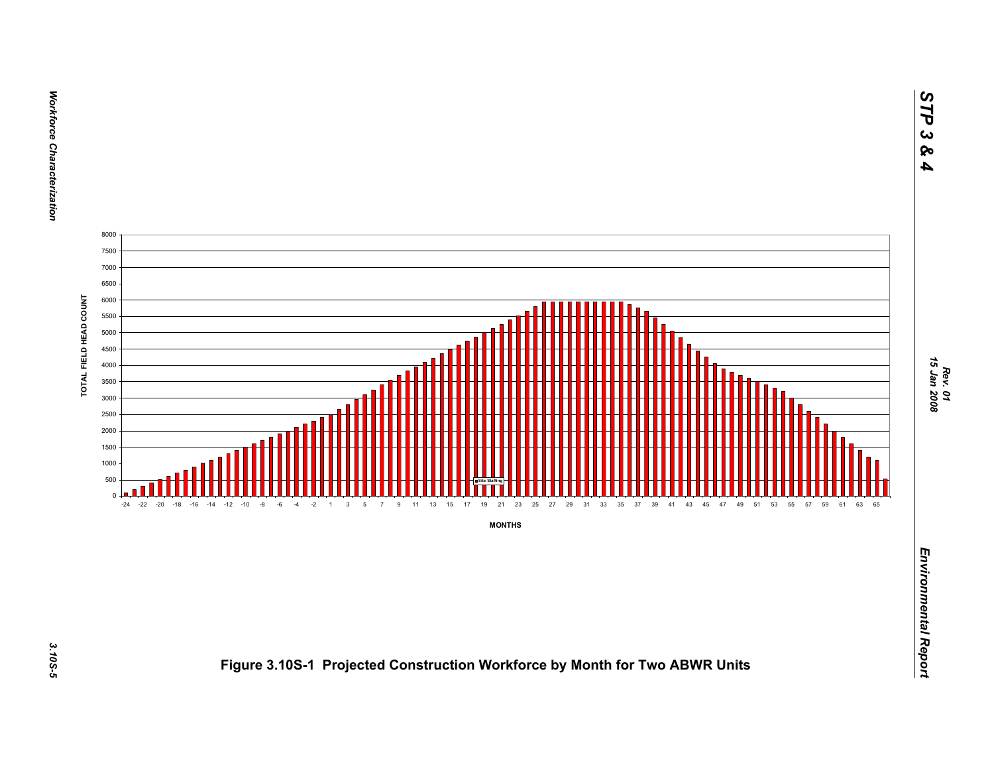